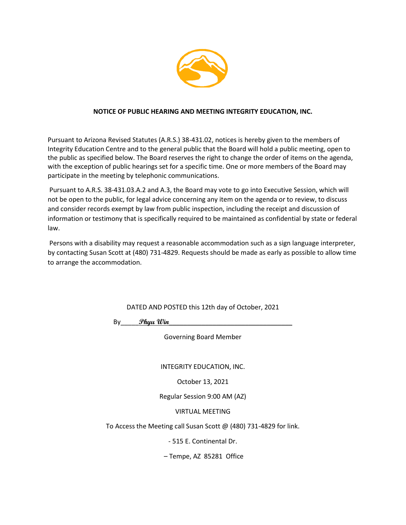

## **NOTICE OF PUBLIC HEARING AND MEETING INTEGRITY EDUCATION, INC.**

Pursuant to Arizona Revised Statutes (A.R.S.) 38-431.02, notices is hereby given to the members of Integrity Education Centre and to the general public that the Board will hold a public meeting, open to the public as specified below. The Board reserves the right to change the order of items on the agenda, with the exception of public hearings set for a specific time. One or more members of the Board may participate in the meeting by telephonic communications.

Pursuant to A.R.S. 38-431.03.A.2 and A.3, the Board may vote to go into Executive Session, which will not be open to the public, for legal advice concerning any item on the agenda or to review, to discuss and consider records exempt by law from public inspection, including the receipt and discussion of information or testimony that is specifically required to be maintained as confidential by state or federal law.

Persons with a disability may request a reasonable accommodation such as a sign language interpreter, by contacting Susan Scott at (480) 731-4829. Requests should be made as early as possible to allow time to arrange the accommodation.

DATED AND POSTED this 12th day of October, 2021

By\_\_\_\_\_**Phyu Win**\_\_\_\_\_\_\_\_\_\_\_\_\_\_\_\_\_\_\_\_\_\_\_\_\_\_\_\_\_\_\_\_\_\_

Governing Board Member

INTEGRITY EDUCATION, INC.

October 13, 2021

Regular Session 9:00 AM (AZ)

VIRTUAL MEETING

To Access the Meeting call Susan Scott @ (480) 731-4829 for link.

- 515 E. Continental Dr.

– Tempe, AZ 85281 Office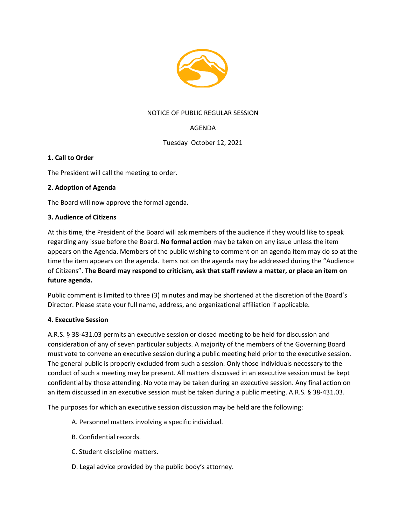

## NOTICE OF PUBLIC REGULAR SESSION

# AGENDA

Tuesday October 12, 2021

## **1. Call to Order**

The President will call the meeting to order.

## **2. Adoption of Agenda**

The Board will now approve the formal agenda.

## **3. Audience of Citizens**

At this time, the President of the Board will ask members of the audience if they would like to speak regarding any issue before the Board. **No formal action** may be taken on any issue unless the item appears on the Agenda. Members of the public wishing to comment on an agenda item may do so at the time the item appears on the agenda. Items not on the agenda may be addressed during the "Audience of Citizens". **The Board may respond to criticism, ask that staff review a matter, or place an item on future agenda.**

Public comment is limited to three (3) minutes and may be shortened at the discretion of the Board's Director. Please state your full name, address, and organizational affiliation if applicable.

## **4. Executive Session**

A.R.S. § 38-431.03 permits an executive session or closed meeting to be held for discussion and consideration of any of seven particular subjects. A majority of the members of the Governing Board must vote to convene an executive session during a public meeting held prior to the executive session. The general public is properly excluded from such a session. Only those individuals necessary to the conduct of such a meeting may be present. All matters discussed in an executive session must be kept confidential by those attending. No vote may be taken during an executive session. Any final action on an item discussed in an executive session must be taken during a public meeting. A.R.S. § 38-431.03.

The purposes for which an executive session discussion may be held are the following:

- A. Personnel matters involving a specific individual.
- B. Confidential records.
- C. Student discipline matters.
- D. Legal advice provided by the public body's attorney.